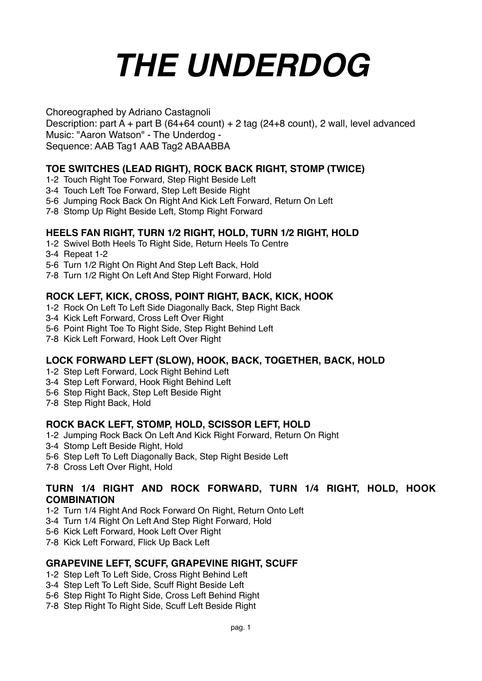# *THE UNDERDOG*

Choreographed by Adriano Castagnoli

Description: part A + part B (64+64 count) + 2 tag (24+8 count), 2 wall, level advanced Music: "Aaron Watson" - The Underdog - Sequence: AAB Tag1 AAB Tag2 ABAABBA

# **TOE SWITCHES (LEAD RIGHT), ROCK BACK RIGHT, STOMP (TWICE)**

- 1-2 Touch Right Toe Forward, Step Right Beside Left
- 3-4 Touch Left Toe Forward, Step Left Beside Right
- 5-6 Jumping Rock Back On Right And Kick Left Forward, Return On Left
- 7-8 Stomp Up Right Beside Left, Stomp Right Forward

# **HEELS FAN RIGHT, TURN 1/2 RIGHT, HOLD, TURN 1/2 RIGHT, HOLD**

- 1-2 Swivel Both Heels To Right Side, Return Heels To Centre
- 3-4 Repeat 1-2
- 5-6 Turn 1/2 Right On Right And Step Left Back, Hold
- 7-8 Turn 1/2 Right On Left And Step Right Forward, Hold

# **ROCK LEFT, KICK, CROSS, POINT RIGHT, BACK, KICK, HOOK**

- 1-2 Rock On Left To Left Side Diagonally Back, Step Right Back
- 3-4 Kick Left Forward, Cross Left Over Right
- 5-6 Point Right Toe To Right Side, Step Right Behind Left
- 7-8 Kick Left Forward, Hook Left Over Right

# **LOCK FORWARD LEFT (SLOW), HOOK, BACK, TOGETHER, BACK, HOLD**

- 1-2 Step Left Forward, Lock Right Behind Left
- 3-4 Step Left Forward, Hook Right Behind Left
- 5-6 Step Right Back, Step Left Beside Right
- 7-8 Step Right Back, Hold

# **ROCK BACK LEFT, STOMP, HOLD, SCISSOR LEFT, HOLD**

- 1-2 Jumping Rock Back On Left And Kick Right Forward, Return On Right
- 3-4 Stomp Left Beside Right, Hold
- 5-6 Step Left To Left Diagonally Back, Step Right Beside Left
- 7-8 Cross Left Over Right, Hold

# **TURN 1/4 RIGHT AND ROCK FORWARD, TURN 1/4 RIGHT, HOLD, HOOK COMBINATION**

- 1-2 Turn 1/4 Right And Rock Forward On Right, Return Onto Left
- 3-4 Turn 1/4 Right On Left And Step Right Forward, Hold
- 5-6 Kick Left Forward, Hook Left Over Right
- 7-8 Kick Left Forward, Flick Up Back Left

# **GRAPEVINE LEFT, SCUFF, GRAPEVINE RIGHT, SCUFF**

- 1-2 Step Left To Left Side, Cross Right Behind Left
- 3-4 Step Left To Left Side, Scuff Right Beside Left
- 5-6 Step Right To Right Side, Cross Left Behind Right
- 7-8 Step Right To Right Side, Scuff Left Beside Right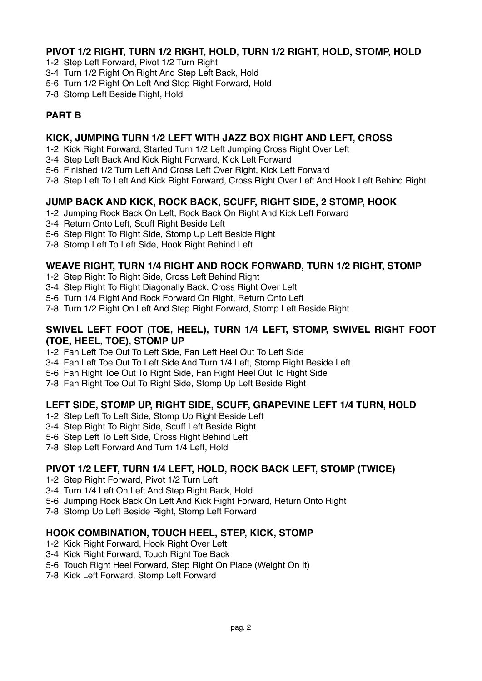# **PIVOT 1/2 RIGHT, TURN 1/2 RIGHT, HOLD, TURN 1/2 RIGHT, HOLD, STOMP, HOLD**

- 1-2 Step Left Forward, Pivot 1/2 Turn Right
- 3-4 Turn 1/2 Right On Right And Step Left Back, Hold
- 5-6 Turn 1/2 Right On Left And Step Right Forward, Hold
- 7-8 Stomp Left Beside Right, Hold

# **PART B**

## **KICK, JUMPING TURN 1/2 LEFT WITH JAZZ BOX RIGHT AND LEFT, CROSS**

- 1-2 Kick Right Forward, Started Turn 1/2 Left Jumping Cross Right Over Left
- 3-4 Step Left Back And Kick Right Forward, Kick Left Forward
- 5-6 Finished 1/2 Turn Left And Cross Left Over Right, Kick Left Forward
- 7-8 Step Left To Left And Kick Right Forward, Cross Right Over Left And Hook Left Behind Right

## **JUMP BACK AND KICK, ROCK BACK, SCUFF, RIGHT SIDE, 2 STOMP, HOOK**

- 1-2 Jumping Rock Back On Left, Rock Back On Right And Kick Left Forward
- 3-4 Return Onto Left, Scuff Right Beside Left
- 5-6 Step Right To Right Side, Stomp Up Left Beside Right
- 7-8 Stomp Left To Left Side, Hook Right Behind Left

# **WEAVE RIGHT, TURN 1/4 RIGHT AND ROCK FORWARD, TURN 1/2 RIGHT, STOMP**

- 1-2 Step Right To Right Side, Cross Left Behind Right
- 3-4 Step Right To Right Diagonally Back, Cross Right Over Left
- 5-6 Turn 1/4 Right And Rock Forward On Right, Return Onto Left
- 7-8 Turn 1/2 Right On Left And Step Right Forward, Stomp Left Beside Right

#### **SWIVEL LEFT FOOT (TOE, HEEL), TURN 1/4 LEFT, STOMP, SWIVEL RIGHT FOOT (TOE, HEEL, TOE), STOMP UP**

- 1-2 Fan Left Toe Out To Left Side, Fan Left Heel Out To Left Side
- 3-4 Fan Left Toe Out To Left Side And Turn 1/4 Left, Stomp Right Beside Left
- 5-6 Fan Right Toe Out To Right Side, Fan Right Heel Out To Right Side
- 7-8 Fan Right Toe Out To Right Side, Stomp Up Left Beside Right

# **LEFT SIDE, STOMP UP, RIGHT SIDE, SCUFF, GRAPEVINE LEFT 1/4 TURN, HOLD**

- 1-2 Step Left To Left Side, Stomp Up Right Beside Left
- 3-4 Step Right To Right Side, Scuff Left Beside Right
- 5-6 Step Left To Left Side, Cross Right Behind Left
- 7-8 Step Left Forward And Turn 1/4 Left, Hold

#### **PIVOT 1/2 LEFT, TURN 1/4 LEFT, HOLD, ROCK BACK LEFT, STOMP (TWICE)**

- 1-2 Step Right Forward, Pivot 1/2 Turn Left
- 3-4 Turn 1/4 Left On Left And Step Right Back, Hold
- 5-6 Jumping Rock Back On Left And Kick Right Forward, Return Onto Right
- 7-8 Stomp Up Left Beside Right, Stomp Left Forward

#### **HOOK COMBINATION, TOUCH HEEL, STEP, KICK, STOMP**

- 1-2 Kick Right Forward, Hook Right Over Left
- 3-4 Kick Right Forward, Touch Right Toe Back
- 5-6 Touch Right Heel Forward, Step Right On Place (Weight On It)
- 7-8 Kick Left Forward, Stomp Left Forward